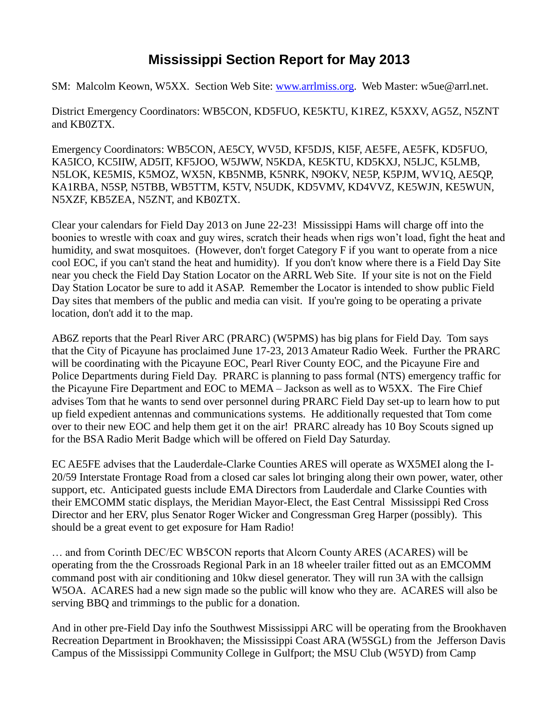## **Mississippi Section Report for May 2013**

SM: Malcolm Keown, W5XX. Section Web Site: [www.arrlmiss.org.](http://www.arrlmiss.org/) Web Master: w5ue@arrl.net.

District Emergency Coordinators: WB5CON, KD5FUO, KE5KTU, K1REZ, K5XXV, AG5Z, N5ZNT and KB0ZTX.

Emergency Coordinators: WB5CON, AE5CY, WV5D, KF5DJS, KI5F, AE5FE, AE5FK, KD5FUO, KA5ICO, KC5IIW, AD5IT, KF5JOO, W5JWW, N5KDA, KE5KTU, KD5KXJ, N5LJC, K5LMB, N5LOK, KE5MIS, K5MOZ, WX5N, KB5NMB, K5NRK, N9OKV, NE5P, K5PJM, WV1Q, AE5QP, KA1RBA, N5SP, N5TBB, WB5TTM, K5TV, N5UDK, KD5VMV, KD4VVZ, KE5WJN, KE5WUN, N5XZF, KB5ZEA, N5ZNT, and KB0ZTX.

Clear your calendars for Field Day 2013 on June 22-23! Mississippi Hams will charge off into the boonies to wrestle with coax and guy wires, scratch their heads when rigs won't load, fight the heat and humidity, and swat mosquitoes. (However, don't forget Category F if you want to operate from a nice cool EOC, if you can't stand the heat and humidity). If you don't know where there is a Field Day Site near you check the Field Day Station Locator on the ARRL Web Site. If your site is not on the Field Day Station Locator be sure to add it ASAP. Remember the Locator is intended to show public Field Day sites that members of the public and media can visit. If you're going to be operating a private location, don't add it to the map.

AB6Z reports that the Pearl River ARC (PRARC) (W5PMS) has big plans for Field Day. Tom says that the City of Picayune has proclaimed June 17-23, 2013 Amateur Radio Week. Further the PRARC will be coordinating with the Picayune EOC, Pearl River County EOC, and the Picayune Fire and Police Departments during Field Day. PRARC is planning to pass formal (NTS) emergency traffic for the Picayune Fire Department and EOC to MEMA – Jackson as well as to W5XX. The Fire Chief advises Tom that he wants to send over personnel during PRARC Field Day set-up to learn how to put up field expedient antennas and communications systems. He additionally requested that Tom come over to their new EOC and help them get it on the air! PRARC already has 10 Boy Scouts signed up for the BSA Radio Merit Badge which will be offered on Field Day Saturday.

EC AE5FE advises that the Lauderdale-Clarke Counties ARES will operate as WX5MEI along the I-20/59 Interstate Frontage Road from a closed car sales lot bringing along their own power, water, other support, etc. Anticipated guests include EMA Directors from Lauderdale and Clarke Counties with their EMCOMM static displays, the Meridian Mayor-Elect, the East Central Mississippi Red Cross Director and her ERV, plus Senator Roger Wicker and Congressman Greg Harper (possibly). This should be a great event to get exposure for Ham Radio!

… and from Corinth DEC/EC WB5CON reports that Alcorn County ARES (ACARES) will be operating from the the Crossroads Regional Park in an 18 wheeler trailer fitted out as an EMCOMM command post with air conditioning and 10kw diesel generator. They will run 3A with the callsign W5OA. ACARES had a new sign made so the public will know who they are. ACARES will also be serving BBQ and trimmings to the public for a donation.

And in other pre-Field Day info the Southwest Mississippi ARC will be operating from the Brookhaven Recreation Department in Brookhaven; the Mississippi Coast ARA (W5SGL) from the Jefferson Davis Campus of the Mississippi Community College in Gulfport; the MSU Club (W5YD) from Camp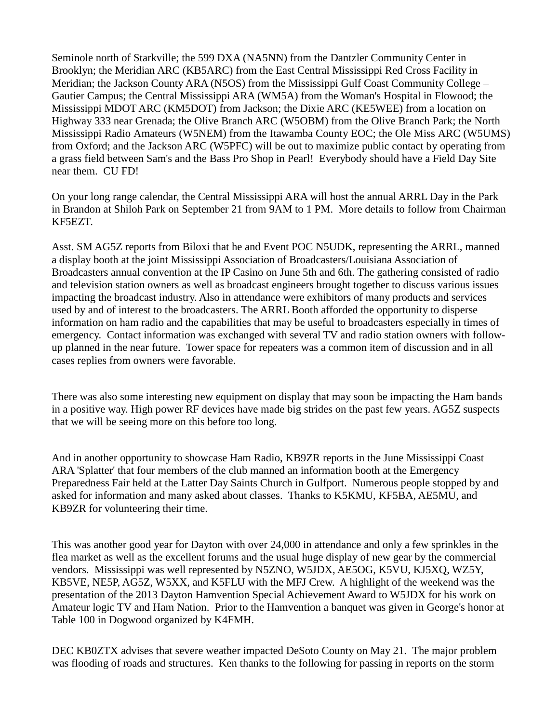Seminole north of Starkville; the 599 DXA (NA5NN) from the Dantzler Community Center in Brooklyn; the Meridian ARC (KB5ARC) from the East Central Mississippi Red Cross Facility in Meridian; the Jackson County ARA (N5OS) from the Mississippi Gulf Coast Community College – Gautier Campus; the Central Mississippi ARA (WM5A) from the Woman's Hospital in Flowood; the Mississippi MDOT ARC (KM5DOT) from Jackson; the Dixie ARC (KE5WEE) from a location on Highway 333 near Grenada; the Olive Branch ARC (W5OBM) from the Olive Branch Park; the North Mississippi Radio Amateurs (W5NEM) from the Itawamba County EOC; the Ole Miss ARC (W5UMS) from Oxford; and the Jackson ARC (W5PFC) will be out to maximize public contact by operating from a grass field between Sam's and the Bass Pro Shop in Pearl! Everybody should have a Field Day Site near them. CU FD!

On your long range calendar, the Central Mississippi ARA will host the annual ARRL Day in the Park in Brandon at Shiloh Park on September 21 from 9AM to 1 PM. More details to follow from Chairman KF5EZT.

Asst. SM AG5Z reports from Biloxi that he and Event POC N5UDK, representing the ARRL, manned a display booth at the joint Mississippi Association of Broadcasters/Louisiana Association of Broadcasters annual convention at the IP Casino on June 5th and 6th. The gathering consisted of radio and television station owners as well as broadcast engineers brought together to discuss various issues impacting the broadcast industry. Also in attendance were exhibitors of many products and services used by and of interest to the broadcasters. The ARRL Booth afforded the opportunity to disperse information on ham radio and the capabilities that may be useful to broadcasters especially in times of emergency. Contact information was exchanged with several TV and radio station owners with followup planned in the near future. Tower space for repeaters was a common item of discussion and in all cases replies from owners were favorable.

There was also some interesting new equipment on display that may soon be impacting the Ham bands in a positive way. High power RF devices have made big strides on the past few years. AG5Z suspects that we will be seeing more on this before too long.

And in another opportunity to showcase Ham Radio, KB9ZR reports in the June Mississippi Coast ARA 'Splatter' that four members of the club manned an information booth at the Emergency Preparedness Fair held at the Latter Day Saints Church in Gulfport. Numerous people stopped by and asked for information and many asked about classes. Thanks to K5KMU, KF5BA, AE5MU, and KB9ZR for volunteering their time.

This was another good year for Dayton with over 24,000 in attendance and only a few sprinkles in the flea market as well as the excellent forums and the usual huge display of new gear by the commercial vendors. Mississippi was well represented by N5ZNO, W5JDX, AE5OG, K5VU, KJ5XQ, WZ5Y, KB5VE, NE5P, AG5Z, W5XX, and K5FLU with the MFJ Crew. A highlight of the weekend was the presentation of the 2013 Dayton Hamvention Special Achievement Award to W5JDX for his work on Amateur logic TV and Ham Nation. Prior to the Hamvention a banquet was given in George's honor at Table 100 in Dogwood organized by K4FMH.

DEC KB0ZTX advises that severe weather impacted DeSoto County on May 21. The major problem was flooding of roads and structures. Ken thanks to the following for passing in reports on the storm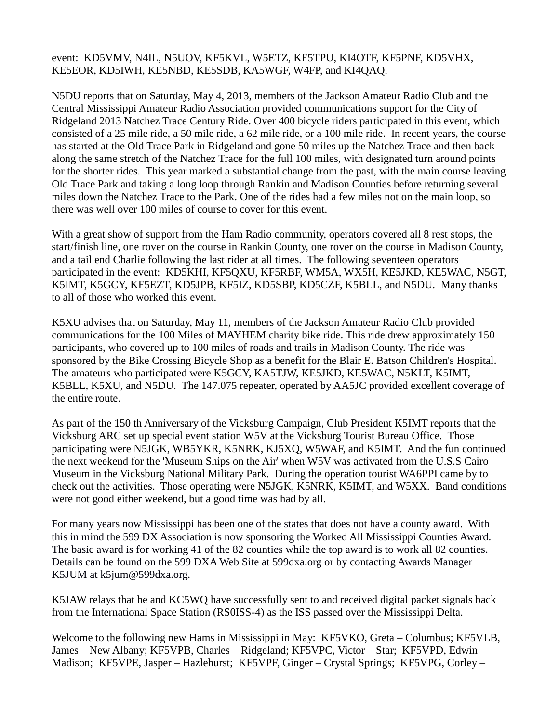## event: KD5VMV, N4IL, N5UOV, KF5KVL, W5ETZ, KF5TPU, KI4OTF, KF5PNF, KD5VHX, KE5EOR, KD5IWH, KE5NBD, KE5SDB, KA5WGF, W4FP, and KI4QAQ.

N5DU reports that on Saturday, May 4, 2013, members of the Jackson Amateur Radio Club and the Central Mississippi Amateur Radio Association provided communications support for the City of Ridgeland 2013 Natchez Trace Century Ride. Over 400 bicycle riders participated in this event, which consisted of a 25 mile ride, a 50 mile ride, a 62 mile ride, or a 100 mile ride. In recent years, the course has started at the Old Trace Park in Ridgeland and gone 50 miles up the Natchez Trace and then back along the same stretch of the Natchez Trace for the full 100 miles, with designated turn around points for the shorter rides. This year marked a substantial change from the past, with the main course leaving Old Trace Park and taking a long loop through Rankin and Madison Counties before returning several miles down the Natchez Trace to the Park. One of the rides had a few miles not on the main loop, so there was well over 100 miles of course to cover for this event.

With a great show of support from the Ham Radio community, operators covered all 8 rest stops, the start/finish line, one rover on the course in Rankin County, one rover on the course in Madison County, and a tail end Charlie following the last rider at all times. The following seventeen operators participated in the event: KD5KHI, KF5QXU, KF5RBF, WM5A, WX5H, KE5JKD, KE5WAC, N5GT, K5IMT, K5GCY, KF5EZT, KD5JPB, KF5IZ, KD5SBP, KD5CZF, K5BLL, and N5DU. Many thanks to all of those who worked this event.

K5XU advises that on Saturday, May 11, members of the Jackson Amateur Radio Club provided communications for the 100 Miles of MAYHEM charity bike ride. This ride drew approximately 150 participants, who covered up to 100 miles of roads and trails in Madison County. The ride was sponsored by the Bike Crossing Bicycle Shop as a benefit for the Blair E. Batson Children's Hospital. The amateurs who participated were K5GCY, KA5TJW, KE5JKD, KE5WAC, N5KLT, K5IMT, K5BLL, K5XU, and N5DU. The 147.075 repeater, operated by AA5JC provided excellent coverage of the entire route.

As part of the 150 th Anniversary of the Vicksburg Campaign, Club President K5IMT reports that the Vicksburg ARC set up special event station W5V at the Vicksburg Tourist Bureau Office. Those participating were N5JGK, WB5YKR, K5NRK, KJ5XQ, W5WAF, and K5IMT. And the fun continued the next weekend for the 'Museum Ships on the Air' when W5V was activated from the U.S.S Cairo Museum in the Vicksburg National Military Park. During the operation tourist WA6PPI came by to check out the activities. Those operating were N5JGK, K5NRK, K5IMT, and W5XX. Band conditions were not good either weekend, but a good time was had by all.

For many years now Mississippi has been one of the states that does not have a county award. With this in mind the 599 DX Association is now sponsoring the Worked All Mississippi Counties Award. The basic award is for working 41 of the 82 counties while the top award is to work all 82 counties. Details can be found on the 599 DXA Web Site at 599dxa.org or by contacting Awards Manager K5JUM at k5jum@599dxa.org.

K5JAW relays that he and KC5WQ have successfully sent to and received digital packet signals back from the International Space Station (RS0ISS-4) as the ISS passed over the Mississippi Delta.

Welcome to the following new Hams in Mississippi in May: KF5VKO, Greta – Columbus; KF5VLB, James – New Albany; KF5VPB, Charles – Ridgeland; KF5VPC, Victor – Star; KF5VPD, Edwin – Madison; KF5VPE, Jasper – Hazlehurst; KF5VPF, Ginger – Crystal Springs; KF5VPG, Corley –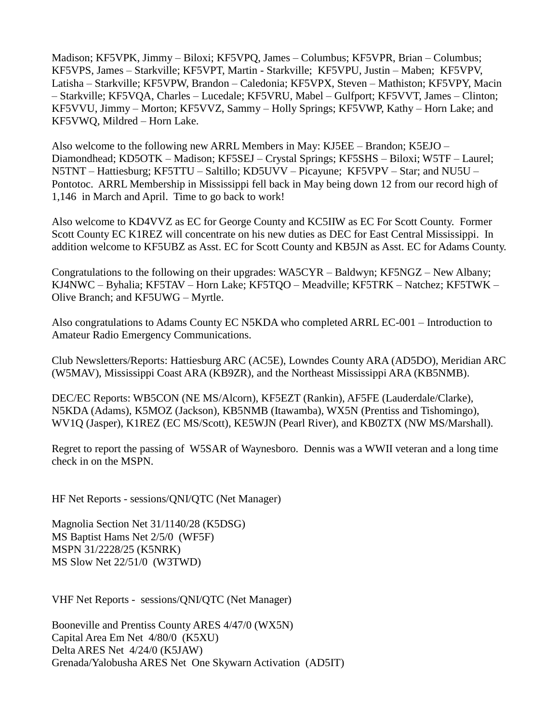Madison; KF5VPK, Jimmy – Biloxi; KF5VPQ, James – Columbus; KF5VPR, Brian – Columbus; KF5VPS, James – Starkville; KF5VPT, Martin - Starkville; KF5VPU, Justin – Maben; KF5VPV, Latisha – Starkville; KF5VPW, Brandon – Caledonia; KF5VPX, Steven – Mathiston; KF5VPY, Macin – Starkville; KF5VQA, Charles – Lucedale; KF5VRU, Mabel – Gulfport; KF5VVT, James – Clinton; KF5VVU, Jimmy – Morton; KF5VVZ, Sammy – Holly Springs; KF5VWP, Kathy – Horn Lake; and KF5VWQ, Mildred – Horn Lake.

Also welcome to the following new ARRL Members in May: KJ5EE – Brandon; K5EJO – Diamondhead; KD5OTK – Madison; KF5SEJ – Crystal Springs; KF5SHS – Biloxi; W5TF – Laurel; N5TNT – Hattiesburg; KF5TTU – Saltillo; KD5UVV – Picayune; KF5VPV – Star; and NU5U – Pontotoc. ARRL Membership in Mississippi fell back in May being down 12 from our record high of 1,146 in March and April. Time to go back to work!

Also welcome to KD4VVZ as EC for George County and KC5IIW as EC For Scott County. Former Scott County EC K1REZ will concentrate on his new duties as DEC for East Central Mississippi. In addition welcome to KF5UBZ as Asst. EC for Scott County and KB5JN as Asst. EC for Adams County.

Congratulations to the following on their upgrades: WA5CYR – Baldwyn; KF5NGZ – New Albany; KJ4NWC – Byhalia; KF5TAV – Horn Lake; KF5TQO – Meadville; KF5TRK – Natchez; KF5TWK – Olive Branch; and KF5UWG – Myrtle.

Also congratulations to Adams County EC N5KDA who completed ARRL EC-001 – Introduction to Amateur Radio Emergency Communications.

Club Newsletters/Reports: Hattiesburg ARC (AC5E), Lowndes County ARA (AD5DO), Meridian ARC (W5MAV), Mississippi Coast ARA (KB9ZR), and the Northeast Mississippi ARA (KB5NMB).

DEC/EC Reports: WB5CON (NE MS/Alcorn), KF5EZT (Rankin), AF5FE (Lauderdale/Clarke), N5KDA (Adams), K5MOZ (Jackson), KB5NMB (Itawamba), WX5N (Prentiss and Tishomingo), WV1Q (Jasper), K1REZ (EC MS/Scott), KE5WJN (Pearl River), and KB0ZTX (NW MS/Marshall).

Regret to report the passing of W5SAR of Waynesboro. Dennis was a WWII veteran and a long time check in on the MSPN.

HF Net Reports - sessions/QNI/QTC (Net Manager)

Magnolia Section Net 31/1140/28 (K5DSG) MS Baptist Hams Net 2/5/0 (WF5F) MSPN 31/2228/25 (K5NRK) MS Slow Net 22/51/0 (W3TWD)

VHF Net Reports - sessions/QNI/QTC (Net Manager)

Booneville and Prentiss County ARES 4/47/0 (WX5N) Capital Area Em Net 4/80/0 (K5XU) Delta ARES Net 4/24/0 (K5JAW) Grenada/Yalobusha ARES Net One Skywarn Activation (AD5IT)